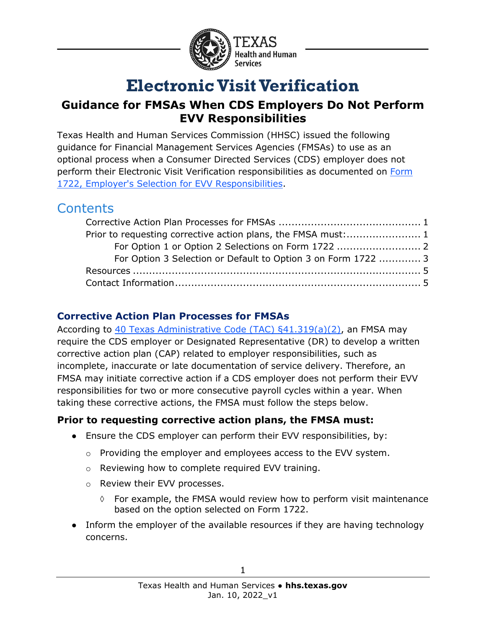

# **Electronic Visit Verification**

# **Guidance for FMSAs When CDS Employers Do Not Perform EVV Responsibilities**

Texas Health and Human Services Commission (HHSC) issued the following guidance for Financial Management Services Agencies (FMSAs) to use as an optional process when a Consumer Directed Services (CDS) employer does not perform their Electronic Visit Verification responsibilities as documented on [Form](https://hhs.texas.gov/laws-regulations/forms/1000-1999/form-1722-employers-selection-electronic-visit-verification-responsibilities)  [1722, Employer's Selection for EVV Responsibilities.](https://hhs.texas.gov/laws-regulations/forms/1000-1999/form-1722-employers-selection-electronic-visit-verification-responsibilities)

# **Contents**

| For Option 3 Selection or Default to Option 3 on Form 1722  3 |  |
|---------------------------------------------------------------|--|
|                                                               |  |
|                                                               |  |

## <span id="page-0-0"></span>**Corrective Action Plan Processes for FMSAs**

According to [40 Texas Administrative Code \(TAC\) §41.319\(a\)\(2\),](https://texreg.sos.state.tx.us/public/readtac$ext.TacPage?sl=R&app=9&p_dir=&p_rloc=&p_tloc=&p_ploc=&pg=1&p_tac=&ti=40&pt=1&ch=41&rl=319) an FMSA may require the CDS employer or Designated Representative (DR) to develop a written corrective action plan (CAP) related to employer responsibilities, such as incomplete, inaccurate or late documentation of service delivery. Therefore, an FMSA may initiate corrective action if a CDS employer does not perform their EVV responsibilities for two or more consecutive payroll cycles within a year. When taking these corrective actions, the FMSA must follow the steps below.

## <span id="page-0-1"></span>**Prior to requesting corrective action plans, the FMSA must:**

- Ensure the CDS employer can perform their EVV responsibilities, by:
	- o Providing the employer and employees access to the EVV system.
	- o Reviewing how to complete required EVV training.
	- o Review their EVV processes.
		- $\Diamond$  For example, the FMSA would review how to perform visit maintenance based on the option selected on Form 1722.
- Inform the employer of the available resources if they are having technology concerns.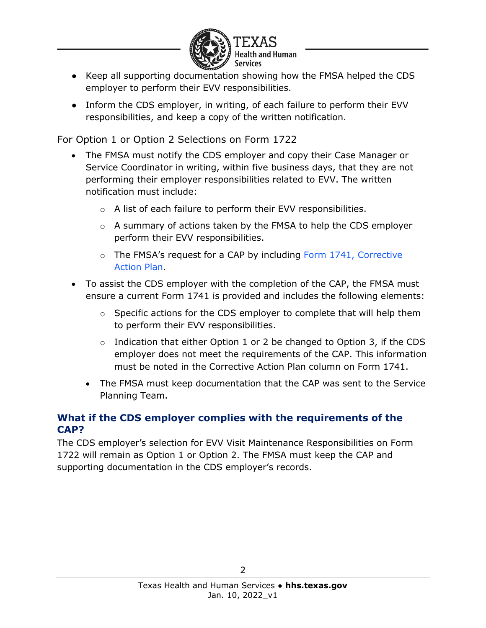

- Keep all supporting documentation showing how the FMSA helped the CDS employer to perform their EVV responsibilities.
- Inform the CDS employer, in writing, of each failure to perform their EVV responsibilities, and keep a copy of the written notification.

<span id="page-1-0"></span>For Option 1 or Option 2 Selections on Form 1722

- The FMSA must notify the CDS employer and copy their Case Manager or Service Coordinator in writing, within five business days, that they are not performing their employer responsibilities related to EVV. The written notification must include:
	- o A list of each failure to perform their EVV responsibilities.
	- o A summary of actions taken by the FMSA to help the CDS employer perform their EVV responsibilities.
	- o The FMSA's request for a CAP by including Form 1741, Corrective [Action Plan.](https://hhs.texas.gov/laws-regulations/forms/1000-1999/form-1741-corrective-action-plan)
- To assist the CDS employer with the completion of the CAP, the FMSA must ensure a current Form 1741 is provided and includes the following elements:
	- $\circ$  Specific actions for the CDS employer to complete that will help them to perform their EVV responsibilities.
	- $\circ$  Indication that either Option 1 or 2 be changed to Option 3, if the CDS employer does not meet the requirements of the CAP. This information must be noted in the Corrective Action Plan column on Form 1741.
	- The FMSA must keep documentation that the CAP was sent to the Service Planning Team.

#### **What if the CDS employer complies with the requirements of the CAP?**

The CDS employer's selection for EVV Visit Maintenance Responsibilities on Form 1722 will remain as Option 1 or Option 2. The FMSA must keep the CAP and supporting documentation in the CDS employer's records.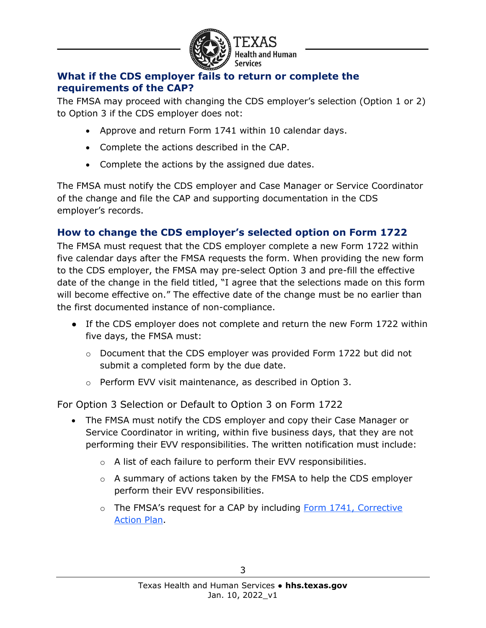

### **What if the CDS employer fails to return or complete the requirements of the CAP?**

The FMSA may proceed with changing the CDS employer's selection (Option 1 or 2) to Option 3 if the CDS employer does not:

- Approve and return Form 1741 within 10 calendar days.
- Complete the actions described in the CAP.
- Complete the actions by the assigned due dates.

The FMSA must notify the CDS employer and Case Manager or Service Coordinator of the change and file the CAP and supporting documentation in the CDS employer's records.

# **How to change the CDS employer's selected option on Form 1722**

The FMSA must request that the CDS employer complete a new Form 1722 within five calendar days after the FMSA requests the form. When providing the new form to the CDS employer, the FMSA may pre-select Option 3 and pre-fill the effective date of the change in the field titled, "I agree that the selections made on this form will become effective on." The effective date of the change must be no earlier than the first documented instance of non-compliance.

- If the CDS employer does not complete and return the new Form 1722 within five days, the FMSA must:
	- o Document that the CDS employer was provided Form 1722 but did not submit a completed form by the due date.
	- o Perform EVV visit maintenance, as described in Option 3.

<span id="page-2-0"></span>For Option 3 Selection or Default to Option 3 on Form 1722

- The FMSA must notify the CDS employer and copy their Case Manager or Service Coordinator in writing, within five business days, that they are not performing their EVV responsibilities. The written notification must include:
	- $\circ$  A list of each failure to perform their EVV responsibilities.
	- o A summary of actions taken by the FMSA to help the CDS employer perform their EVV responsibilities.
	- o The FMSA's request for a CAP by including [Form 1741, Corrective](https://hhs.texas.gov/laws-regulations/forms/1000-1999/form-1741-corrective-action-plan)  [Action Plan.](https://hhs.texas.gov/laws-regulations/forms/1000-1999/form-1741-corrective-action-plan)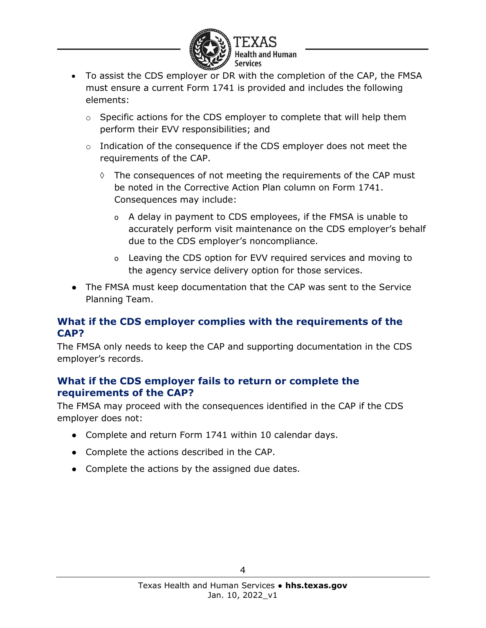

- To assist the CDS employer or DR with the completion of the CAP, the FMSA must ensure a current Form 1741 is provided and includes the following elements:
	- o Specific actions for the CDS employer to complete that will help them perform their EVV responsibilities; and
	- $\circ$  Indication of the consequence if the CDS employer does not meet the requirements of the CAP.
		- $\Diamond$  The consequences of not meeting the requirements of the CAP must be noted in the Corrective Action Plan column on Form 1741. Consequences may include:
			- o A delay in payment to CDS employees, if the FMSA is unable to accurately perform visit maintenance on the CDS employer's behalf due to the CDS employer's noncompliance.
			- o Leaving the CDS option for EVV required services and moving to the agency service delivery option for those services.
- The FMSA must keep documentation that the CAP was sent to the Service Planning Team.

#### **What if the CDS employer complies with the requirements of the CAP?**

The FMSA only needs to keep the CAP and supporting documentation in the CDS employer's records.

#### **What if the CDS employer fails to return or complete the requirements of the CAP?**

The FMSA may proceed with the consequences identified in the CAP if the CDS employer does not:

- Complete and return Form 1741 within 10 calendar days.
- Complete the actions described in the CAP.
- Complete the actions by the assigned due dates.